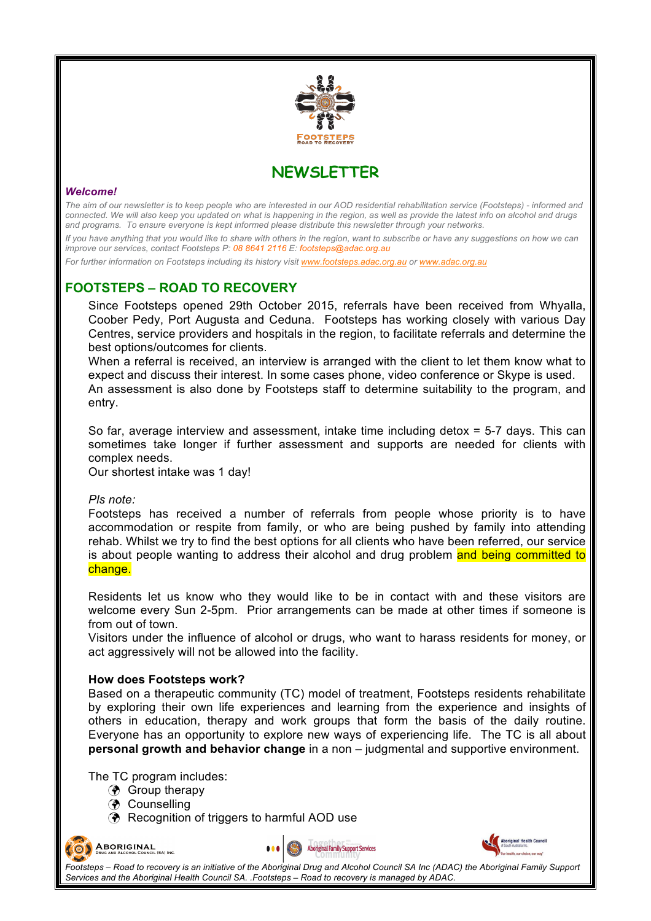

**NEWSLETTER**

### *Welcome!*

*The aim of our newsletter is to keep people who are interested in our AOD residential rehabilitation service (Footsteps) - informed and connected. We will also keep you updated on what is happening in the region, as well as provide the latest info on alcohol and drugs and programs. To ensure everyone is kept informed please distribute this newsletter through your networks.*

*If you have anything that you would like to share with others in the region, want to subscribe or have any suggestions on how we can improve our services, contact Footsteps P: 08 8641 2116 E: footsteps@adac.org.au*

*For further information on Footsteps including its history visit www.footsteps.adac.org.au or www.adac.org.au*

# **FOOTSTEPS – ROAD TO RECOVERY**

Since Footsteps opened 29th October 2015, referrals have been received from Whyalla, Coober Pedy, Port Augusta and Ceduna. Footsteps has working closely with various Day Centres, service providers and hospitals in the region, to facilitate referrals and determine the best options/outcomes for clients.

When a referral is received, an interview is arranged with the client to let them know what to expect and discuss their interest. In some cases phone, video conference or Skype is used. An assessment is also done by Footsteps staff to determine suitability to the program, and entry.

So far, average interview and assessment, intake time including detox = 5-7 days. This can sometimes take longer if further assessment and supports are needed for clients with complex needs.

Our shortest intake was 1 day!

#### *Pls note:*

Footsteps has received a number of referrals from people whose priority is to have accommodation or respite from family, or who are being pushed by family into attending rehab. Whilst we try to find the best options for all clients who have been referred, our service is about people wanting to address their alcohol and drug problem and being committed to change.

Residents let us know who they would like to be in contact with and these visitors are welcome every Sun 2-5pm. Prior arrangements can be made at other times if someone is from out of town.

Visitors under the influence of alcohol or drugs, who want to harass residents for money, or act aggressively will not be allowed into the facility.

#### **How does Footsteps work?**

Based on a therapeutic community (TC) model of treatment, Footsteps residents rehabilitate by exploring their own life experiences and learning from the experience and insights of others in education, therapy and work groups that form the basis of the daily routine. Everyone has an opportunity to explore new ways of experiencing life. The TC is all about **personal growth and behavior change** in a non – judgmental and supportive environment.

**Aboriginal Family Support Services** 

The TC program includes:

- ! Group therapy
- **(?)** Counselling
- **(?)** Recognition of triggers to harmful AOD use



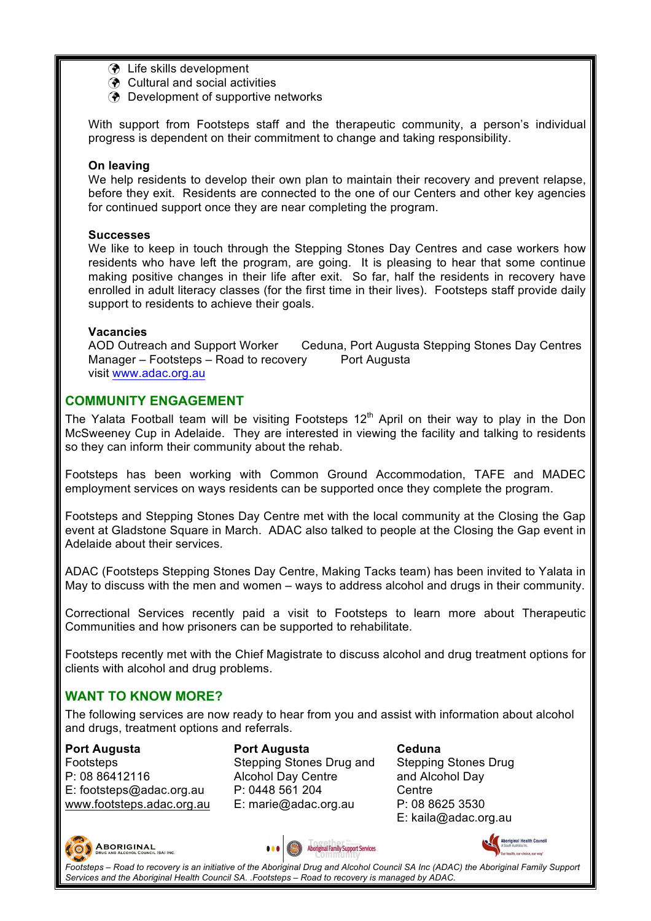- **3** Life skills development
- **3** Cultural and social activities
- **(?)** Development of supportive networks

With support from Footsteps staff and the therapeutic community, a person's individual progress is dependent on their commitment to change and taking responsibility.

### **On leaving**

We help residents to develop their own plan to maintain their recovery and prevent relapse, before they exit. Residents are connected to the one of our Centers and other key agencies for continued support once they are near completing the program.

#### **Successes**

We like to keep in touch through the Stepping Stones Day Centres and case workers how residents who have left the program, are going. It is pleasing to hear that some continue making positive changes in their life after exit. So far, half the residents in recovery have enrolled in adult literacy classes (for the first time in their lives). Footsteps staff provide daily support to residents to achieve their goals.

### **Vacancies**

AOD Outreach and Support Worker Ceduna, Port Augusta Stepping Stones Day Centres Manager – Footsteps – Road to recovery Port Augusta visit www.adac.org.au

## **COMMUNITY ENGAGEMENT**

The Yalata Football team will be visiting Footsteps  $12<sup>th</sup>$  April on their way to play in the Don McSweeney Cup in Adelaide. They are interested in viewing the facility and talking to residents so they can inform their community about the rehab.

Footsteps has been working with Common Ground Accommodation, TAFE and MADEC employment services on ways residents can be supported once they complete the program.

Footsteps and Stepping Stones Day Centre met with the local community at the Closing the Gap event at Gladstone Square in March. ADAC also talked to people at the Closing the Gap event in Adelaide about their services.

ADAC (Footsteps Stepping Stones Day Centre, Making Tacks team) has been invited to Yalata in May to discuss with the men and women – ways to address alcohol and drugs in their community.

Correctional Services recently paid a visit to Footsteps to learn more about Therapeutic Communities and how prisoners can be supported to rehabilitate.

Footsteps recently met with the Chief Magistrate to discuss alcohol and drug treatment options for clients with alcohol and drug problems.

# **WANT TO KNOW MORE?**

The following services are now ready to hear from you and assist with information about alcohol and drugs, treatment options and referrals.

## **Port Augusta**

Footsteps P: 08 86412116 E: footsteps@adac.org.au www.footsteps.adac.org.au **Port Augusta**  Stepping Stones Drug and Alcohol Day Centre P: 0448 561 204 E: marie@adac.org.au

**Ceduna**  Stepping Stones Drug and Alcohol Day **Centre** P: 08 8625 3530 E: kaila@adac.org.au







**Footsteps – Road to recovery is an initiative of the Aboriginal Drug and Alcohol Council SA Inc (ADAC) the Aboriginal Family Support <b>Footsteps – Road to recovery is an initiative of the Aboriginal Drug and Alcohol Counci** *Services and the Aboriginal Health Council SA. .Footsteps – Road to recovery is managed by ADAC.*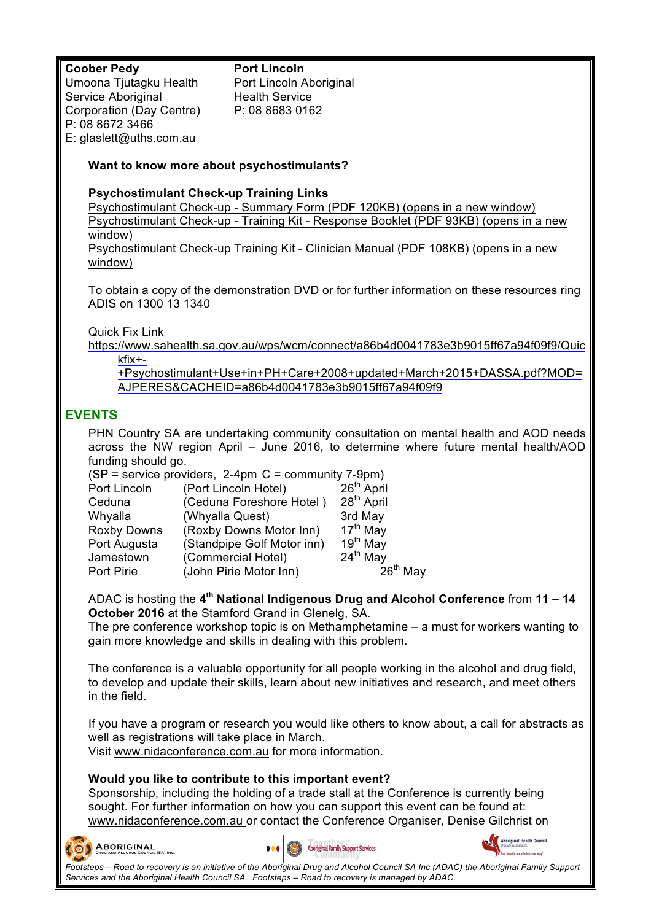## **Coober Pedy**

Umoona Tjutagku Health Service Aboriginal Corporation (Day Centre) P: 08 8672 3466 E: glaslett@uths.com.au

**Port Lincoln** Port Lincoln Aboriginal Health Service P: 08 8683 0162

## **Want to know more about psychostimulants?**

### **Psychostimulant Check-up Training Links**

Psychostimulant Check-up - Summary Form (PDF 120KB) (opens in a new window) Psychostimulant Check-up - Training Kit - Response Booklet (PDF 93KB) (opens in a new window) Psychostimulant Check-up Training Kit - Clinician Manual (PDF 108KB) (opens in a new window)

To obtain a copy of the demonstration DVD or for further information on these resources ring ADIS on 1300 13 1340

Quick Fix Link

https://www.sahealth.sa.gov.au/wps/wcm/connect/a86b4d0041783e3b9015ff67a94f09f9/Quic kfix+-

+Psychostimulant+Use+in+PH+Care+2008+updated+March+2015+DASSA.pdf?MOD= AJPERES&CACHEID=a86b4d0041783e3b9015ff67a94f09f9

# **EVENTS**

PHN Country SA are undertaking community consultation on mental health and AOD needs across the NW region April – June 2016, to determine where future mental health/AOD funding should go.

| (SP = service providers, 2-4pm C = community 7-9pm) |                        |
|-----------------------------------------------------|------------------------|
| (Port Lincoln Hotel)                                | 26 <sup>th</sup> April |
| (Ceduna Foreshore Hotel)                            | 28 <sup>th</sup> April |
| (Whyalla Quest)                                     | 3rd May                |
| (Roxby Downs Motor Inn)                             | 17 <sup>th</sup> May   |
| (Standpipe Golf Motor inn)                          | 19 <sup>th</sup> May   |
| (Commercial Hotel)                                  | 24 <sup>th</sup> May   |
| (John Pirie Motor Inn)                              | $26th$ May             |
|                                                     |                        |

ADAC is hosting the **4th National Indigenous Drug and Alcohol Conference** from **11 – 14 October 2016** at the Stamford Grand in Glenelg, SA.

The pre conference workshop topic is on Methamphetamine – a must for workers wanting to gain more knowledge and skills in dealing with this problem.

The conference is a valuable opportunity for all people working in the alcohol and drug field, to develop and update their skills, learn about new initiatives and research, and meet others in the field.

If you have a program or research you would like others to know about, a call for abstracts as well as registrations will take place in March.

Visit www.nidaconference.com.au for more information.

## **Would you like to contribute to this important event?**

Sponsorship, including the holding of a trade stall at the Conference is currently being sought. For further information on how you can support this event can be found at: www.nidaconference.com.au or contact the Conference Organiser, Denise Gilchrist on









**Footsteps – Road to recovery is an initiative of the Aboriginal Drug and Alcohol Council SA Inc (ADAC) the Aboriginal Family Support Problem and Connect Council SA Inc (ADAC) the Aboriginal Family Support <b>Problem and Alc** *Services and the Aboriginal Health Council SA. .Footsteps – Road to recovery is managed by ADAC.*